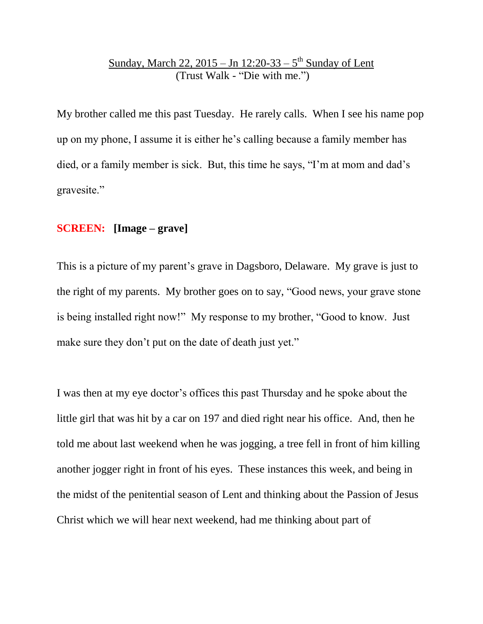## <u>Sunday, March 22, 2015 – Jn 12:20-33 – 5<sup>th</sup> Sunday of Lent</u> (Trust Walk - "Die with me.")

My brother called me this past Tuesday. He rarely calls. When I see his name pop up on my phone, I assume it is either he's calling because a family member has died, or a family member is sick. But, this time he says, "I'm at mom and dad's gravesite."

### **SCREEN: [Image – grave]**

This is a picture of my parent's grave in Dagsboro, Delaware. My grave is just to the right of my parents. My brother goes on to say, "Good news, your grave stone is being installed right now!" My response to my brother, "Good to know. Just make sure they don't put on the date of death just yet."

I was then at my eye doctor's offices this past Thursday and he spoke about the little girl that was hit by a car on 197 and died right near his office. And, then he told me about last weekend when he was jogging, a tree fell in front of him killing another jogger right in front of his eyes. These instances this week, and being in the midst of the penitential season of Lent and thinking about the Passion of Jesus Christ which we will hear next weekend, had me thinking about part of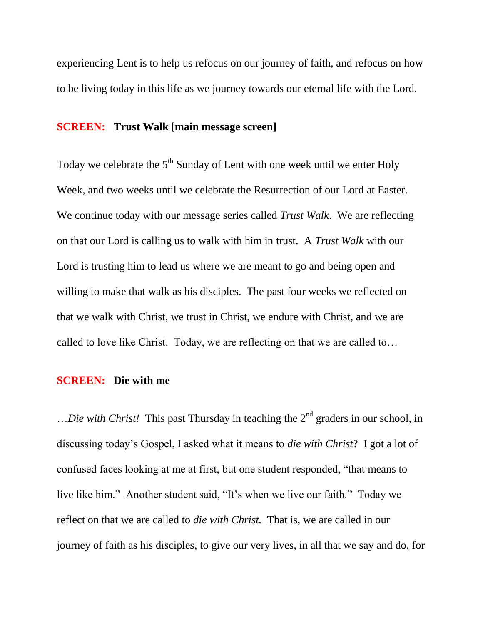experiencing Lent is to help us refocus on our journey of faith, and refocus on how to be living today in this life as we journey towards our eternal life with the Lord.

## **SCREEN: Trust Walk [main message screen]**

Today we celebrate the  $5<sup>th</sup>$  Sunday of Lent with one week until we enter Holy Week, and two weeks until we celebrate the Resurrection of our Lord at Easter. We continue today with our message series called *Trust Walk*. We are reflecting on that our Lord is calling us to walk with him in trust. A *Trust Walk* with our Lord is trusting him to lead us where we are meant to go and being open and willing to make that walk as his disciples. The past four weeks we reflected on that we walk with Christ, we trust in Christ, we endure with Christ, and we are called to love like Christ. Today, we are reflecting on that we are called to…

#### **SCREEN: Die with me**

...*Die with Christ!* This past Thursday in teaching the 2<sup>nd</sup> graders in our school, in discussing today's Gospel, I asked what it means to *die with Christ*? I got a lot of confused faces looking at me at first, but one student responded, "that means to live like him." Another student said, "It's when we live our faith." Today we reflect on that we are called to *die with Christ.* That is, we are called in our journey of faith as his disciples, to give our very lives, in all that we say and do, for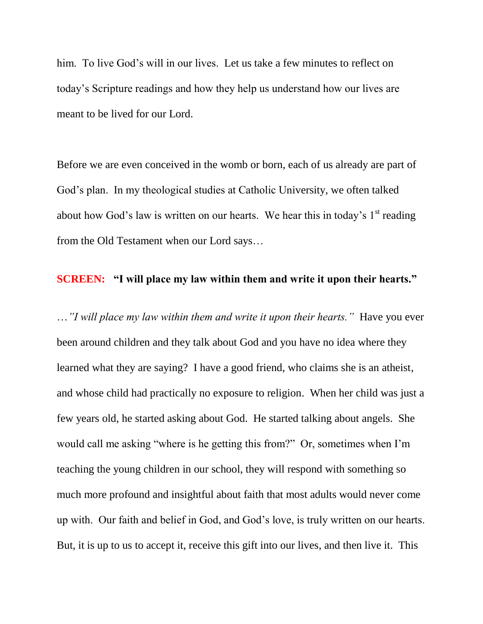him. To live God's will in our lives. Let us take a few minutes to reflect on today's Scripture readings and how they help us understand how our lives are meant to be lived for our Lord.

Before we are even conceived in the womb or born, each of us already are part of God's plan. In my theological studies at Catholic University, we often talked about how God's law is written on our hearts. We hear this in today's  $1<sup>st</sup>$  reading from the Old Testament when our Lord says…

### **SCREEN: "I will place my law within them and write it upon their hearts."**

…*"I will place my law within them and write it upon their hearts."* Have you ever been around children and they talk about God and you have no idea where they learned what they are saying? I have a good friend, who claims she is an atheist, and whose child had practically no exposure to religion. When her child was just a few years old, he started asking about God. He started talking about angels. She would call me asking "where is he getting this from?" Or, sometimes when I'm teaching the young children in our school, they will respond with something so much more profound and insightful about faith that most adults would never come up with. Our faith and belief in God, and God's love, is truly written on our hearts. But, it is up to us to accept it, receive this gift into our lives, and then live it. This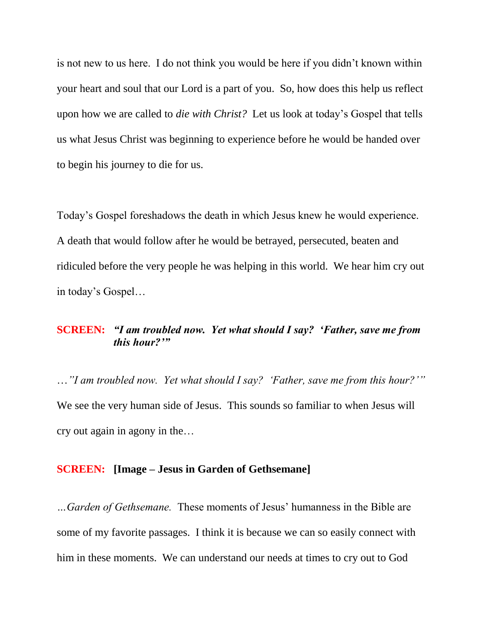is not new to us here. I do not think you would be here if you didn't known within your heart and soul that our Lord is a part of you. So, how does this help us reflect upon how we are called to *die with Christ?* Let us look at today's Gospel that tells us what Jesus Christ was beginning to experience before he would be handed over to begin his journey to die for us.

Today's Gospel foreshadows the death in which Jesus knew he would experience. A death that would follow after he would be betrayed, persecuted, beaten and ridiculed before the very people he was helping in this world. We hear him cry out in today's Gospel…

### **SCREEN:** *"I am troubled now. Yet what should I say? 'Father, save me from this hour?'"*

…*"I am troubled now. Yet what should I say? 'Father, save me from this hour?'"*  We see the very human side of Jesus. This sounds so familiar to when Jesus will cry out again in agony in the…

#### **SCREEN: [Image – Jesus in Garden of Gethsemane]**

*…Garden of Gethsemane.* These moments of Jesus' humanness in the Bible are some of my favorite passages. I think it is because we can so easily connect with him in these moments. We can understand our needs at times to cry out to God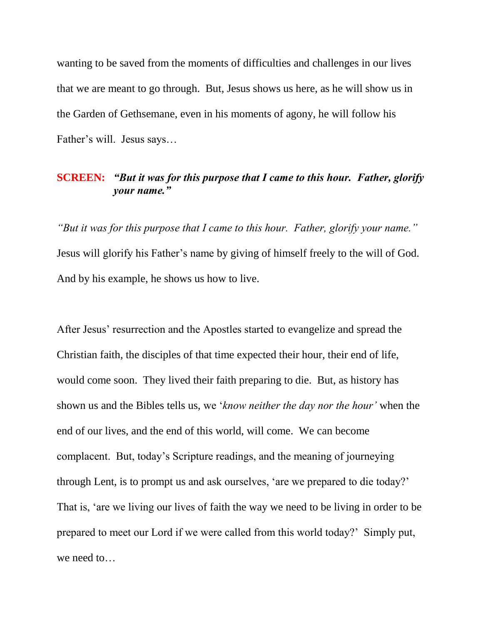wanting to be saved from the moments of difficulties and challenges in our lives that we are meant to go through. But, Jesus shows us here, as he will show us in the Garden of Gethsemane, even in his moments of agony, he will follow his Father's will. Jesus says…

## **SCREEN:** *"But it was for this purpose that I came to this hour. Father, glorify your name."*

*"But it was for this purpose that I came to this hour. Father, glorify your name."*  Jesus will glorify his Father's name by giving of himself freely to the will of God. And by his example, he shows us how to live.

After Jesus' resurrection and the Apostles started to evangelize and spread the Christian faith, the disciples of that time expected their hour, their end of life, would come soon. They lived their faith preparing to die. But, as history has shown us and the Bibles tells us, we '*know neither the day nor the hour'* when the end of our lives, and the end of this world, will come. We can become complacent. But, today's Scripture readings, and the meaning of journeying through Lent, is to prompt us and ask ourselves, 'are we prepared to die today?' That is, 'are we living our lives of faith the way we need to be living in order to be prepared to meet our Lord if we were called from this world today?' Simply put, we need to…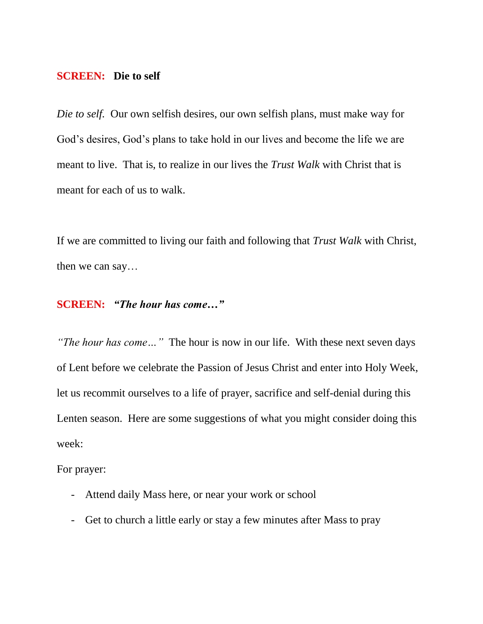#### **SCREEN: Die to self**

*Die to self.* Our own selfish desires, our own selfish plans, must make way for God's desires, God's plans to take hold in our lives and become the life we are meant to live. That is, to realize in our lives the *Trust Walk* with Christ that is meant for each of us to walk.

If we are committed to living our faith and following that *Trust Walk* with Christ, then we can say…

# **SCREEN:** *"The hour has come…"*

*"The hour has come…"* The hour is now in our life. With these next seven days of Lent before we celebrate the Passion of Jesus Christ and enter into Holy Week, let us recommit ourselves to a life of prayer, sacrifice and self-denial during this Lenten season. Here are some suggestions of what you might consider doing this week:

For prayer:

- Attend daily Mass here, or near your work or school
- Get to church a little early or stay a few minutes after Mass to pray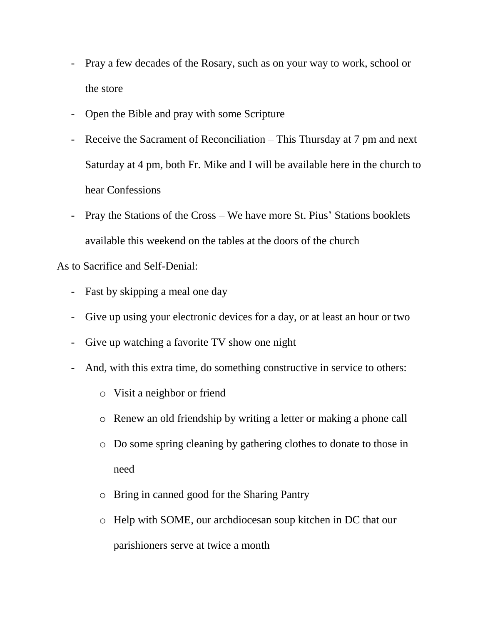- Pray a few decades of the Rosary, such as on your way to work, school or the store
- Open the Bible and pray with some Scripture
- Receive the Sacrament of Reconciliation This Thursday at 7 pm and next Saturday at 4 pm, both Fr. Mike and I will be available here in the church to hear Confessions
- Pray the Stations of the Cross We have more St. Pius' Stations booklets available this weekend on the tables at the doors of the church

As to Sacrifice and Self-Denial:

- Fast by skipping a meal one day
- Give up using your electronic devices for a day, or at least an hour or two
- Give up watching a favorite TV show one night
- And, with this extra time, do something constructive in service to others:
	- o Visit a neighbor or friend
	- o Renew an old friendship by writing a letter or making a phone call
	- o Do some spring cleaning by gathering clothes to donate to those in need
	- o Bring in canned good for the Sharing Pantry
	- o Help with SOME, our archdiocesan soup kitchen in DC that our parishioners serve at twice a month